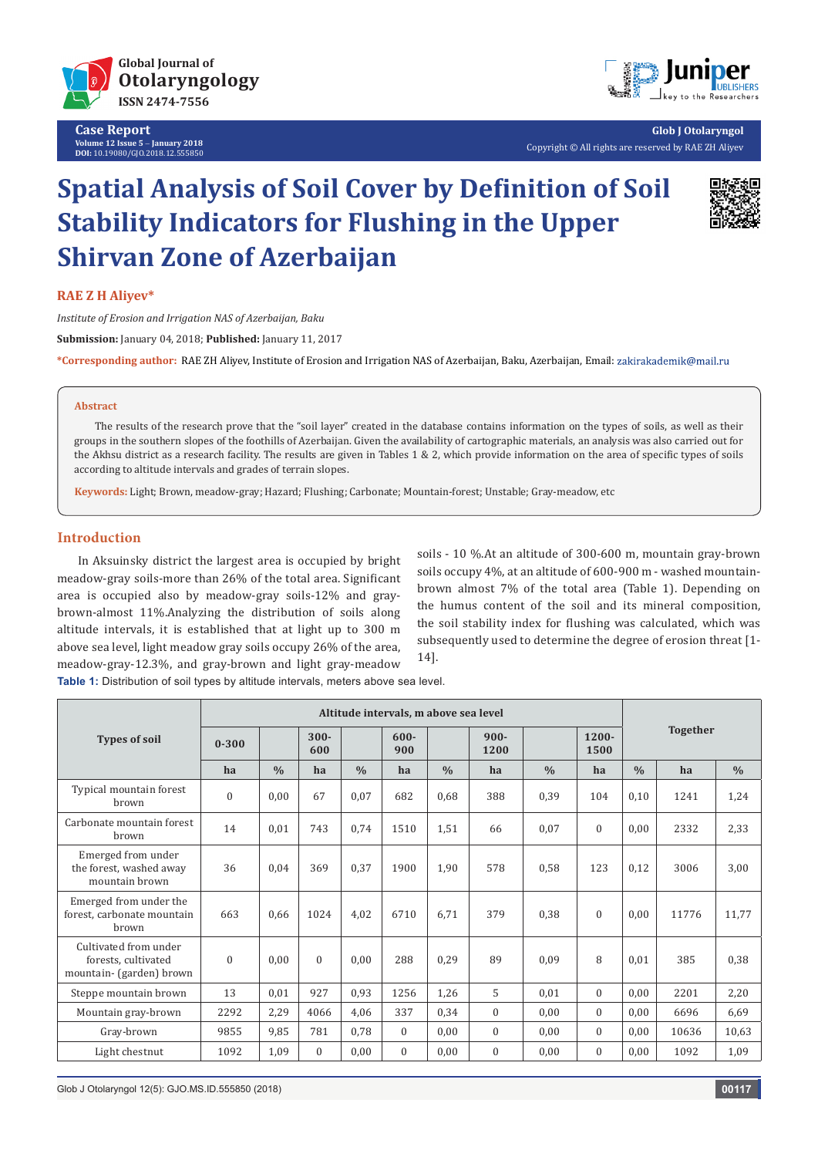

**Case Report Volume 12 Issue 5** - **January 2018 DOI:** [10.19080/GJO.2018.12.555850](http://dx.doi.org/10.19080/GJO.2018.12.555850)



**Glob J Otolaryngol** Copyright © All rights are reserved by RAE ZH Aliyev

# **Spatial Analysis of Soil Cover by Definition of Soil Stability Indicators for Flushing in the Upper Shirvan Zone of Azerbaijan**



#### **RAE Z H Aliyev\***

*Institute of Erosion and Irrigation NAS of Azerbaijan, Baku* **Submission:** January 04, 2018; **Published:** January 11, 2017

**\*Corresponding author:** RAE ZH Aliyev, Institute of Erosion and Irrigation NAS of Azerbaijan, Baku, Azerbaijan, Email:

#### **Abstract**

The results of the research prove that the "soil layer" created in the database contains information on the types of soils, as well as their groups in the southern slopes of the foothills of Azerbaijan. Given the availability of cartographic materials, an analysis was also carried out for the Akhsu district as a research facility. The results are given in Tables 1 & 2, which provide information on the area of specific types of soils according to altitude intervals and grades of terrain slopes.

**Keywords:** Light; Brown, meadow-gray; Hazard; Flushing; Carbonate; Mountain-forest; Unstable; Gray-meadow, etc

### **Introduction**

In Aksuinsky district the largest area is occupied by bright meadow-gray soils-more than 26% of the total area. Significant area is occupied also by meadow-gray soils-12% and graybrown-almost 11%.Analyzing the distribution of soils along altitude intervals, it is established that at light up to 300 m above sea level, light meadow gray soils occupy 26% of the area, meadow-gray-12.3%, and gray-brown and light gray-meadow soils - 10 %.At an altitude of 300-600 m, mountain gray-brown soils occupy 4%, at an altitude of 600-900 m - washed mountainbrown almost 7% of the total area (Table 1). Depending on the humus content of the soil and its mineral composition, the soil stability index for flushing was calculated, which was subsequently used to determine the degree of erosion threat [1- 14].

**Table 1:** Distribution of soil types by altitude intervals, meters above sea level.

|                                                                          |              |               | Altitude intervals, m above sea level |               |                |      |                 |               |                  |               |                 |               |
|--------------------------------------------------------------------------|--------------|---------------|---------------------------------------|---------------|----------------|------|-----------------|---------------|------------------|---------------|-----------------|---------------|
| <b>Types of soil</b>                                                     | $0 - 300$    |               | $300 -$<br>600                        |               | $600 -$<br>900 |      | $900 -$<br>1200 |               | $1200 -$<br>1500 |               | <b>Together</b> |               |
|                                                                          | ha           | $\frac{0}{0}$ | ha                                    | $\frac{0}{0}$ | ha             | 0/0  | ha              | $\frac{0}{0}$ | ha               | $\frac{0}{0}$ | ha              | $\frac{0}{0}$ |
| Typical mountain forest<br>brown                                         | $\mathbf{0}$ | 0,00          | 67                                    | 0,07          | 682            | 0,68 | 388             | 0,39          | 104              | 0,10          | 1241            | 1,24          |
| Carbonate mountain forest<br>brown                                       | 14           | 0,01          | 743                                   | 0,74          | 1510           | 1,51 | 66              | 0,07          | $\mathbf{0}$     | 0,00          | 2332            | 2,33          |
| Emerged from under<br>the forest, washed away<br>mountain brown          | 36           | 0,04          | 369                                   | 0,37          | 1900           | 1,90 | 578             | 0,58          | 123              | 0,12          | 3006            | 3,00          |
| Emerged from under the<br>forest, carbonate mountain<br>hrown            | 663          | 0,66          | 1024                                  | 4,02          | 6710           | 6,71 | 379             | 0,38          | $\theta$         | 0,00          | 11776           | 11,77         |
| Cultivated from under<br>forests, cultivated<br>mountain- (garden) brown | $\mathbf{0}$ | 0,00          | $\Omega$                              | 0,00          | 288            | 0,29 | 89              | 0,09          | 8                | 0,01          | 385             | 0,38          |
| Steppe mountain brown                                                    | 13           | 0,01          | 927                                   | 0,93          | 1256           | 1,26 | 5               | 0,01          | $\Omega$         | 0,00          | 2201            | 2,20          |
| Mountain gray-brown                                                      | 2292         | 2,29          | 4066                                  | 4,06          | 337            | 0,34 | $\mathbf{0}$    | 0.00          | $\Omega$         | 0,00          | 6696            | 6,69          |
| Gray-brown                                                               | 9855         | 9,85          | 781                                   | 0,78          | $\theta$       | 0,00 | $\mathbf{0}$    | 0.00          | $\Omega$         | 0,00          | 10636           | 10,63         |
| Light chestnut                                                           | 1092         | 1,09          | $\Omega$                              | 0,00          | $\theta$       | 0,00 | $\theta$        | 0.00          | $\Omega$         | 0,00          | 1092            | 1,09          |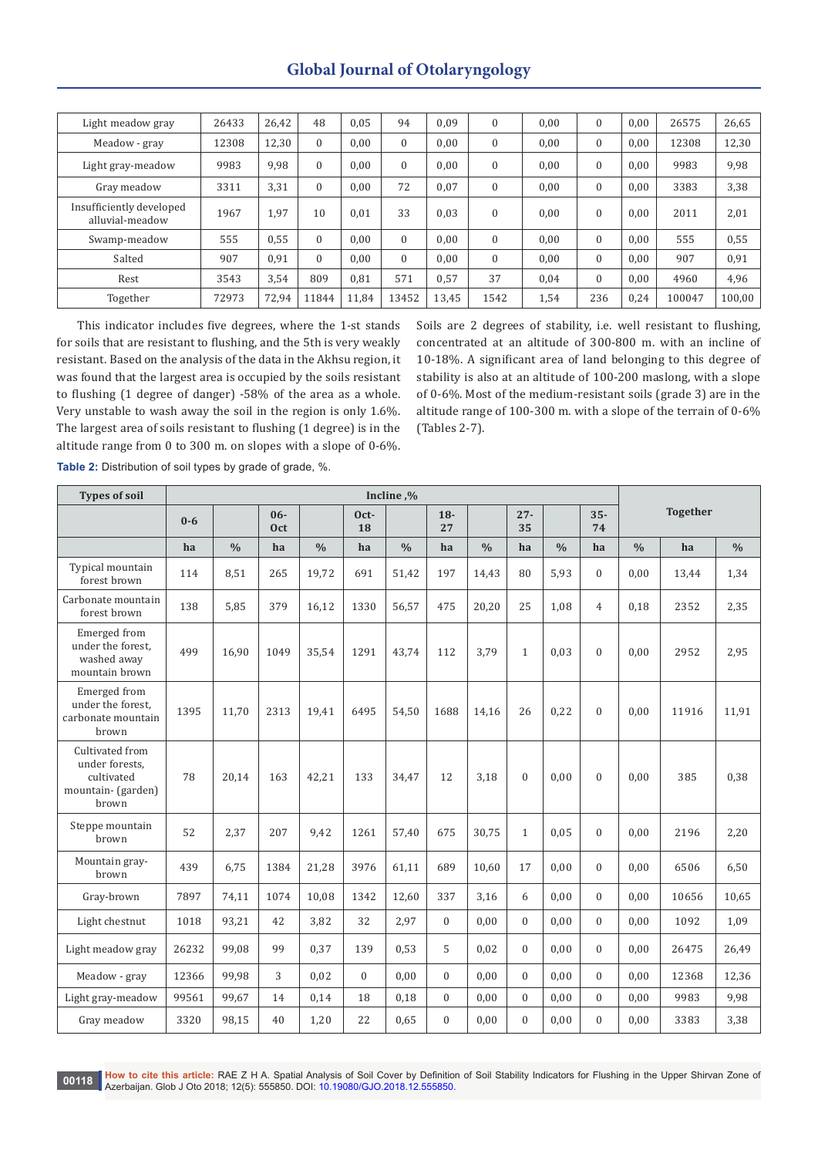| Light meadow gray                           | 26433 | 26,42 | 48       | 0.05  | 94       | 0.09  | $\mathbf{0}$     | 0,00 | $\mathbf{0}$ | 0.00 | 26575  | 26,65  |
|---------------------------------------------|-------|-------|----------|-------|----------|-------|------------------|------|--------------|------|--------|--------|
| Meadow - gray                               | 12308 | 12,30 | 0        | 0,00  | $\Omega$ | 0,00  | $\mathbf{0}$     | 0,00 | $\theta$     | 0.00 | 12308  | 12,30  |
| Light gray-meadow                           | 9983  | 9,98  | 0        | 0.00  | $\Omega$ | 0.00  | $\boldsymbol{0}$ | 0,00 | $\mathbf{0}$ | 0.00 | 9983   | 9,98   |
| Gray meadow                                 | 3311  | 3,31  | 0        | 0,00  | 72       | 0,07  | $\mathbf{0}$     | 0,00 | $\mathbf{0}$ | 0,00 | 3383   | 3,38   |
| Insufficiently developed<br>alluvial-meadow | 1967  | 1,97  | 10       | 0.01  | 33       | 0,03  | $\mathbf{0}$     | 0,00 | $\mathbf{0}$ | 0.00 | 2011   | 2,01   |
| Swamp-meadow                                | 555   | 0,55  | $\Omega$ | 0,00  | $\Omega$ | 0,00  | $\mathbf{0}$     | 0,00 | $\mathbf{0}$ | 0.00 | 555    | 0,55   |
| Salted                                      | 907   | 0,91  | $\Omega$ | 0.00  | $\Omega$ | 0.00  | $\mathbf{0}$     | 0,00 | $\Omega$     | 0.00 | 907    | 0,91   |
| Rest                                        | 3543  | 3,54  | 809      | 0.81  | 571      | 0,57  | 37               | 0,04 | $\mathbf{0}$ | 0.00 | 4960   | 4,96   |
| Together                                    | 72973 | 72,94 | 11844    | 11,84 | 13452    | 13,45 | 1542             | 1,54 | 236          | 0,24 | 100047 | 100,00 |

This indicator includes five degrees, where the 1-st stands for soils that are resistant to flushing, and the 5th is very weakly resistant. Based on the analysis of the data in the Akhsu region, it was found that the largest area is occupied by the soils resistant to flushing (1 degree of danger) -58% of the area as a whole. Very unstable to wash away the soil in the region is only 1.6%. The largest area of soils resistant to flushing (1 degree) is in the altitude range from 0 to 300 m. on slopes with a slope of 0-6%.

Soils are 2 degrees of stability, i.e. well resistant to flushing, concentrated at an altitude of 300-800 m. with an incline of 10-18%. A significant area of land belonging to this degree of stability is also at an altitude of 100-200 maslong, with a slope of 0-6%. Most of the medium-resistant soils (grade 3) are in the altitude range of 100-300 m. with a slope of the terrain of 0-6% (Tables 2-7).

**Types of soil Incline ,% Together 10- 0-6 0-6 0-6 0-6 0-6 0-6 0-6 0-6 0-6 0-6 0-6 0-6 0-6 0-6 0-6 0-6 0-6 12-6 12-6 12-7 12-7 12-7 12-7 Oct Oct-18 18- 27 27- 35 35- 74 hа % hа % hа % hа % hа % hа % hа %** Typical mountain forest brown <sup>114</sup> 8,51 <sup>265</sup> 19,72 <sup>691</sup> 51,42 <sup>197</sup> 14,43 <sup>80</sup> 5,93 <sup>0</sup> 0,00 13,44 1,34 Carbonate mountain forest brown 138 5,85 379 16,12 1330 56,57 475 20,20 25 1,08 4 0,18 2352 2,35 Emerged from under the forest, washed away mountain brown 499 16,90 1049 35,54 1291 43,74 112 3,79 1 0,03 0 0,00 2952 2,95 Emerged from under the forest, carbonate mountain brown 1395 11,70 2313 19,41 6495 54,50 1688 14,16 26 0,22 0 0,00 11916 11,91 Cultivated from under forests, cultivated mountain- (garden) brown  $78$  | 20,14 | 163 | 42,21 | 133 | 34,47 | 12 | 3,18 | 0 | 0,00 | 0 | 0,00 | 385 | 0,38 Steppe mountain<br>hrown brown  $\begin{bmatrix} 52 \\ 2,37 \end{bmatrix}$   $\begin{bmatrix} 2,37 \\ 2,07 \end{bmatrix}$   $\begin{bmatrix} 9,42 \\ 1261 \end{bmatrix}$   $\begin{bmatrix} 57,40 \\ 675 \end{bmatrix}$   $\begin{bmatrix} 30,75 \\ 1 \end{bmatrix}$   $\begin{bmatrix} 0,05 \\ 0 \end{bmatrix}$   $\begin{bmatrix} 0,00 \\ 0,00 \end{bmatrix}$   $\begin{bmatrix} 2196 \\ 2796 \end{bmatrix}$  2,20 Mountain gray-<br>brown brown <sup>439</sup> 6,75 <sup>1384</sup> 21,28 <sup>3976</sup> 61,11 <sup>689</sup> 10,60 <sup>17</sup> 0,00 <sup>0</sup> 0,00 <sup>6506</sup> 6,50 Gray-brown | 7897 | 74,11 | 1074 | 10,08 | 1342 | 12,60 | 337 | 3,16 | 6 | 0,00 | 0 | 0,00 | 10656 | 10,65 Light chestnut 1018 93,21 42 3,82 32 2,97 0 0,00 0 0,00 0 0,00 1092 1,09 Light meadow gray 26232 99,08 99 0,37 139 0,53 5 0,02 0 0,00 0 0,00 26475 26,49 Meadow - gray | 12366 | 99,98 | | 3 | | 0,02 | | 0 | 0,00 | 0 | 0,00 | 0 | 0,00 | 0,00 | 0,00 | 12368 | 12,36 Light gray-meadow 99561 99,67 14 0,14 18 0,18 0 0,00 0 0,00 0 0,00 9983 9,98 Gray meadow | 3320 | 98,15 | 40 | 1,20 | 22 | 0,65 | 0 | 0,00 | 0 | 0,00 | 0 | 0,00 | 3383 | 3,38

**Table 2:** Distribution of soil types by grade of grade, %.

**00118 How to cite this article:** RAE Z H A. Spatial Analysis of Soil Cover by Definition of Soil Stability Indicators for Flushing in the Upper Shirvan Zone of Azerbaijan. Glob J Oto 2018; 12(5): 555850. DOI: [10.19080/GJO.2018.12.555850](http://dx.doi.org/10.19080/GJO.2018.12.555850).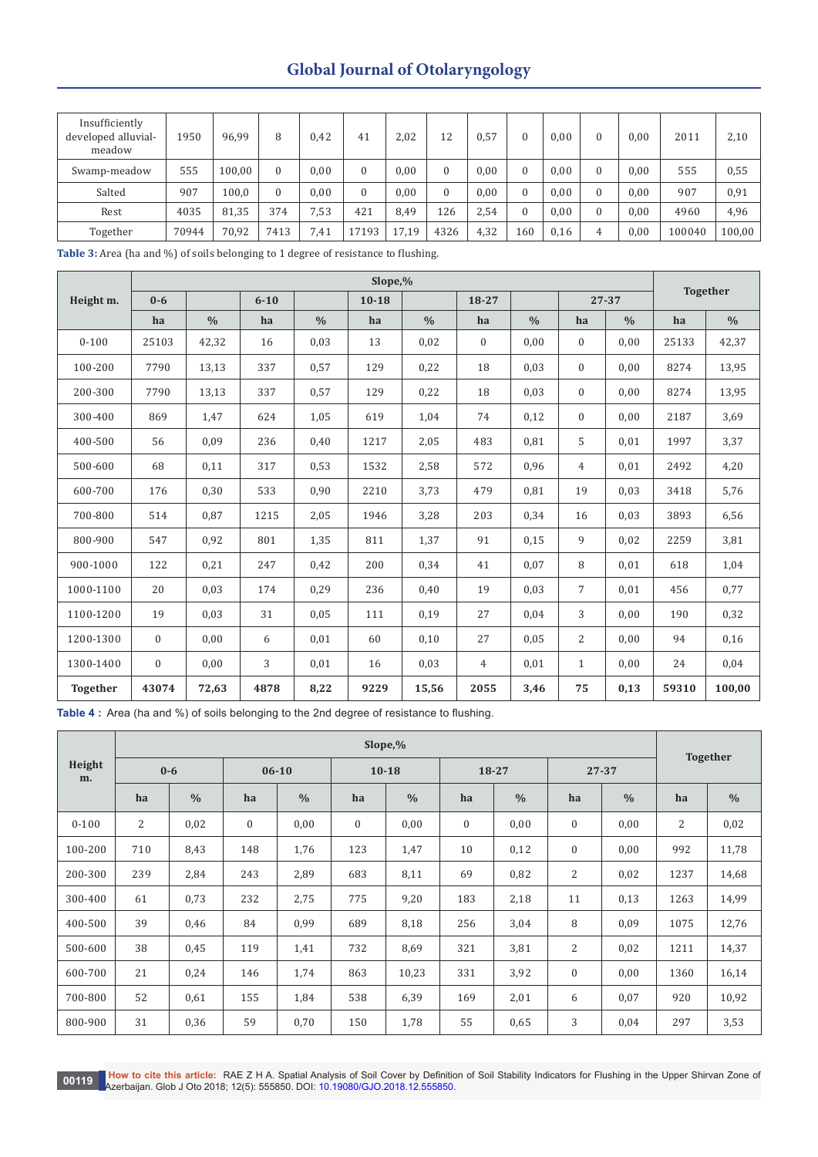| Insufficiently<br>developed alluvial-<br>meadow | 1950  | 96,99  | 8    | 0,42 | 41    | 2,02  | 12       | 0,57 |     | 0,00 | $\mathcal{O}$ | 0.00 | 2011   | 2,10   |
|-------------------------------------------------|-------|--------|------|------|-------|-------|----------|------|-----|------|---------------|------|--------|--------|
| Swamp-meadow                                    | 555   | 100.00 |      | 0.00 |       | 0,00  | $\Omega$ | 0,00 |     | 0,00 |               | 0.00 | 555    | 0,55   |
| Salted                                          | 907   | 100,0  |      | 0.00 |       | 0,00  | $\Omega$ | 0.00 |     | 0.00 |               | 0.00 | 907    | 0,91   |
| Rest                                            | 4035  | 81,35  | 374  | 7,53 | 421   | 8.49  | 126      | 2.54 |     | 0,00 | $\mathbf{0}$  | 0.00 | 4960   | 4,96   |
| Together                                        | 70944 | 70,92  | 7413 | 7,41 | 17193 | 17,19 | 4326     | 4,32 | 160 | 0,16 | 4             | 0,00 | 100040 | 100,00 |

**Table 3:** Area (ha and %) of soils belonging to 1 degree of resistance to flushing.

|                 |              |               |          |               | <b>Together</b> |               |                |               |                |               |       |               |
|-----------------|--------------|---------------|----------|---------------|-----------------|---------------|----------------|---------------|----------------|---------------|-------|---------------|
| Height m.       | $0 - 6$      |               | $6 - 10$ |               | $10 - 18$       |               | $18 - 27$      |               |                | 27-37         |       |               |
|                 | ha           | $\frac{0}{0}$ | ha       | $\frac{0}{0}$ | ha              | $\frac{0}{0}$ | ha             | $\frac{0}{0}$ | ha             | $\frac{0}{0}$ | ha    | $\frac{0}{0}$ |
| $0 - 100$       | 25103        | 42,32         | 16       | 0,03          | 13              | 0,02          | $\overline{0}$ | 0,00          | $\overline{0}$ | 0,00          | 25133 | 42,37         |
| 100-200         | 7790         | 13,13         | 337      | 0,57          | 129             | 0,22          | 18             | 0,03          | $\theta$       | 0,00          | 8274  | 13,95         |
| 200-300         | 7790         | 13,13         | 337      | 0,57          | 129             | 0,22          | 18             | 0,03          | $\theta$       | 0,00          | 8274  | 13,95         |
| 300-400         | 869          | 1,47          | 624      | 1,05          | 619             | 1,04          | 74             | 0,12          | $\theta$       | 0,00          | 2187  | 3,69          |
| 400-500         | 56           | 0,09          | 236      | 0,40          | 1217            | 2,05          | 483            | 0,81          | 5              | 0,01          | 1997  | 3,37          |
| 500-600         | 68           | 0,11          | 317      | 0,53          | 1532            | 2,58          | 572            | 0,96          | $\overline{4}$ | 0,01          | 2492  | 4,20          |
| 600-700         | 176          | 0,30          | 533      | 0,90          | 2210            | 3,73          | 479            | 0,81          | 19             | 0,03          | 3418  | 5,76          |
| 700-800         | 514          | 0,87          | 1215     | 2,05          | 1946            | 3,28          | 203            | 0,34          | 16             | 0,03          | 3893  | 6,56          |
| 800-900         | 547          | 0,92          | 801      | 1,35          | 811             | 1,37          | 91             | 0,15          | 9              | 0,02          | 2259  | 3,81          |
| 900-1000        | 122          | 0,21          | 247      | 0,42          | 200             | 0,34          | 41             | 0,07          | 8              | 0,01          | 618   | 1,04          |
| 1000-1100       | 20           | 0,03          | 174      | 0,29          | 236             | 0,40          | 19             | 0,03          | $\overline{7}$ | 0,01          | 456   | 0,77          |
| 1100-1200       | 19           | 0,03          | 31       | 0,05          | 111             | 0,19          | 27             | 0,04          | 3              | 0,00          | 190   | 0,32          |
| 1200-1300       | $\mathbf{0}$ | 0,00          | 6        | 0,01          | 60              | 0,10          | 27             | 0,05          | 2              | 0,00          | 94    | 0,16          |
| 1300-1400       | $\mathbf{0}$ | 0,00          | 3        | 0,01          | 16              | 0,03          | $\overline{4}$ | 0,01          | $\mathbf{1}$   | 0,00          | 24    | 0,04          |
| <b>Together</b> | 43074        | 72,63         | 4878     | 8,22          | 9229            | 15,56         | 2055           | 3,46          | 75             | 0,13          | 59310 | 100,00        |

**Table 4 :** Area (ha and %) of soils belonging to the 2nd degree of resistance to flushing.

|              |     | Slope, %      |                  |               |              |               |                  |               |              |               |                 |               |  |
|--------------|-----|---------------|------------------|---------------|--------------|---------------|------------------|---------------|--------------|---------------|-----------------|---------------|--|
| Height<br>m. |     | $0-6$         | $06 - 10$        |               |              | $10 - 18$     | 18-27            |               |              | 27-37         | <b>Together</b> |               |  |
|              | ha  | $\frac{0}{0}$ | ha               | $\frac{0}{0}$ | ha           | $\frac{0}{0}$ | ha               | $\frac{0}{0}$ | ha           | $\frac{0}{0}$ | ha              | $\frac{0}{0}$ |  |
| $0 - 100$    | 2   | 0,02          | $\boldsymbol{0}$ | 0,00          | $\mathbf{0}$ | 0,00          | $\boldsymbol{0}$ | 0,00          | $\mathbf{0}$ | 0,00          | 2               | 0,02          |  |
| 100-200      | 710 | 8,43          | 148              | 1,76          | 123          | 1,47          | 10               | 0,12          | $\mathbf{0}$ | 0,00          | 992             | 11,78         |  |
| 200-300      | 239 | 2,84          | 243              | 2,89          | 683          | 8,11          | 69               | 0,82          | 2            | 0,02          | 1237            | 14,68         |  |
| 300-400      | 61  | 0,73          | 232              | 2,75          | 775          | 9,20          | 183              | 2,18          | 11           | 0,13          | 1263            | 14,99         |  |
| 400-500      | 39  | 0,46          | 84               | 0,99          | 689          | 8,18          | 256              | 3,04          | 8            | 0,09          | 1075            | 12,76         |  |
| 500-600      | 38  | 0,45          | 119              | 1,41          | 732          | 8,69          | 321              | 3,81          | 2            | 0,02          | 1211            | 14,37         |  |
| 600-700      | 21  | 0,24          | 146              | 1,74          | 863          | 10,23         | 331              | 3,92          | $\mathbf{0}$ | 0,00          | 1360            | 16,14         |  |
| 700-800      | 52  | 0,61          | 155              | 1,84          | 538          | 6,39          | 169              | 2,01          | 6            | 0,07          | 920             | 10,92         |  |
| 800-900      | 31  | 0,36          | 59               | 0,70          | 150          | 1,78          | 55               | 0,65          | 3            | 0,04          | 297             | 3,53          |  |

00119 How to cite this article: RAE Z H A. Spatial Analysis of Soil Cover by Definition of Soil Stability Indicators for Flushing in the Upper Shirvan Zone of Nuel 100119 Azerbaijan. Glob J Oto 2018; 12(5): 555850. DOI: 10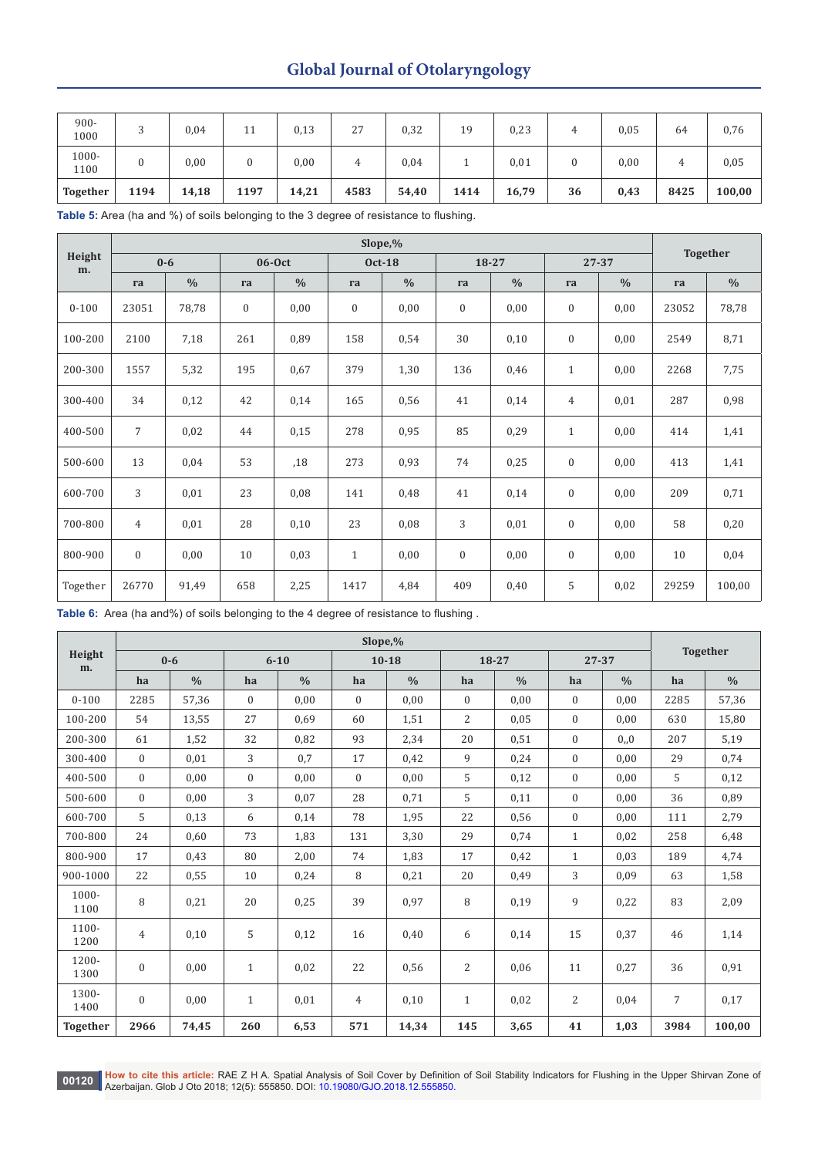| $900 -$<br>1000 |      | 0,04  | 11   | 0,13  | 27   | 0,32  | 19       | 0,23  | ᅭ  | 0,05 | 64   | 0,76   |
|-----------------|------|-------|------|-------|------|-------|----------|-------|----|------|------|--------|
| 1000-<br>1100   |      | 0,00  | 0    | 0,00  | ப    | 0,04  | <b>.</b> | 0,01  |    | 0,00 | 4    | 0,05   |
| <b>Together</b> | 1194 | 14,18 | 1197 | 14,21 | 4583 | 54,40 | 1414     | 16,79 | 36 | 0,43 | 8425 | 100,00 |

**Table 5:** Area (ha and %) of soils belonging to the 3 degree of resistance to flushing.

|              |                |               | <b>Together</b>  |               |                  |               |                  |               |                  |               |       |               |
|--------------|----------------|---------------|------------------|---------------|------------------|---------------|------------------|---------------|------------------|---------------|-------|---------------|
| Height<br>m. |                | $0 - 6$       |                  | $06-0ct$      |                  | <b>Oct-18</b> | 18-27            |               | 27-37            |               |       |               |
|              | га             | $\frac{0}{0}$ | га               | $\frac{0}{0}$ | га               | $\frac{0}{0}$ | га               | $\frac{0}{0}$ | га               | $\frac{0}{0}$ | га    | $\frac{0}{0}$ |
| $0 - 100$    | 23051          | 78,78         | $\boldsymbol{0}$ | 0,00          | $\boldsymbol{0}$ | 0,00          | $\boldsymbol{0}$ | 0,00          | $\boldsymbol{0}$ | 0,00          | 23052 | 78,78         |
| 100-200      | 2100           | 7,18          | 261              | 0,89          | 158              | 0,54          | 30               | 0,10          | $\boldsymbol{0}$ | 0,00          | 2549  | 8,71          |
| 200-300      | 1557           | 5,32          | 195              | 0,67          | 379              | 1,30          | 136              | 0,46          | $\mathbf{1}$     | 0,00          | 2268  | 7,75          |
| 300-400      | 34             | 0,12          | 42               | 0,14          | 165              | 0,56          | 41               | 0,14          | $\overline{4}$   | 0,01          | 287   | 0,98          |
| 400-500      | $\overline{7}$ | 0,02          | 44               | 0,15          | 278              | 0,95          | 85               | 0,29          | $\mathbf{1}$     | 0,00          | 414   | 1,41          |
| 500-600      | 13             | 0,04          | 53               | ,18           | 273              | 0,93          | 74               | 0,25          | $\mathbf{0}$     | 0,00          | 413   | 1,41          |
| 600-700      | 3              | 0,01          | 23               | 0,08          | 141              | 0,48          | 41               | 0,14          | $\boldsymbol{0}$ | 0,00          | 209   | 0,71          |
| 700-800      | $\overline{4}$ | 0,01          | 28               | 0,10          | 23               | 0,08          | 3                | 0,01          | $\mathbf{0}$     | 0,00          | 58    | 0,20          |
| 800-900      | $\mathbf{0}$   | 0,00          | 10               | 0,03          | $\mathbf{1}$     | 0,00          | $\boldsymbol{0}$ | 0,00          | $\boldsymbol{0}$ | 0,00          | 10    | 0,04          |
| Together     | 26770          | 91,49         | 658              | 2,25          | 1417             | 4,84          | 409              | 0,40          | 5                | 0,02          | 29259 | 100,00        |

**Table 6:** Area (ha and%) of soils belonging to the 4 degree of resistance to flushing .

|                 | Slope,%        |               |              |               |                |               |                |               |                |               |                | <b>Together</b> |  |
|-----------------|----------------|---------------|--------------|---------------|----------------|---------------|----------------|---------------|----------------|---------------|----------------|-----------------|--|
| Height<br>m.    |                | $0-6$         |              | $6 - 10$      |                | $10 - 18$     | 18-27          |               | $27 - 37$      |               |                |                 |  |
|                 | ha             | $\frac{0}{0}$ | ha           | $\frac{0}{0}$ | ha             | $\frac{0}{0}$ | ha             | $\frac{0}{0}$ | ha             | $\frac{0}{0}$ | ha             | $\frac{0}{0}$   |  |
| $0 - 100$       | 2285           | 57,36         | $\mathbf{0}$ | 0,00          | $\overline{0}$ | 0,00          | $\mathbf{0}$   | 0,00          | $\overline{0}$ | 0,00          | 2285           | 57,36           |  |
| 100-200         | 54             | 13,55         | 27           | 0.69          | 60             | 1,51          | $\overline{2}$ | 0,05          | $\Omega$       | 0.00          | 630            | 15,80           |  |
| 200-300         | 61             | 1,52          | 32           | 0,82          | 93             | 2,34          | 20             | 0,51          | $\Omega$       | 0, 0          | 207            | 5,19            |  |
| 300-400         | $\overline{0}$ | 0,01          | 3            | 0,7           | 17             | 0,42          | 9              | 0,24          | $\Omega$       | 0,00          | 29             | 0,74            |  |
| 400-500         | $\overline{0}$ | 0.00          | $\mathbf{0}$ | 0.00          | $\mathbf{0}$   | 0.00          | 5              | 0,12          | $\overline{0}$ | 0,00          | 5              | 0,12            |  |
| 500-600         | $\Omega$       | 0,00          | 3            | 0,07          | 28             | 0,71          | 5              | 0,11          | $\Omega$       | 0,00          | 36             | 0,89            |  |
| 600-700         | 5              | 0,13          | 6            | 0,14          | 78             | 1,95          | 22             | 0,56          | $\overline{0}$ | 0.00          | 111            | 2,79            |  |
| 700-800         | 24             | 0,60          | 73           | 1,83          | 131            | 3,30          | 29             | 0,74          | $\mathbf{1}$   | 0,02          | 258            | 6,48            |  |
| 800-900         | 17             | 0,43          | 80           | 2,00          | 74             | 1,83          | 17             | 0,42          | $\mathbf{1}$   | 0,03          | 189            | 4,74            |  |
| 900-1000        | 22             | 0,55          | 10           | 0,24          | 8              | 0,21          | 20             | 0,49          | 3              | 0,09          | 63             | 1,58            |  |
| 1000-<br>1100   | 8              | 0,21          | 20           | 0,25          | 39             | 0,97          | 8              | 0,19          | 9              | 0,22          | 83             | 2,09            |  |
| 1100-<br>1200   | $\overline{4}$ | 0,10          | 5            | 0,12          | 16             | 0,40          | 6              | 0,14          | 15             | 0,37          | 46             | 1,14            |  |
| 1200-<br>1300   | $\overline{0}$ | 0,00          | $\mathbf{1}$ | 0,02          | 22             | 0,56          | $\overline{2}$ | 0,06          | 11             | 0,27          | 36             | 0,91            |  |
| 1300-<br>1400   | $\overline{0}$ | 0,00          | $\mathbf{1}$ | 0,01          | 4              | 0,10          | $\mathbf{1}$   | 0,02          | $\overline{2}$ | 0,04          | $\overline{7}$ | 0,17            |  |
| <b>Together</b> | 2966           | 74,45         | 260          | 6,53          | 571            | 14,34         | 145            | 3,65          | 41             | 1,03          | 3984           | 100,00          |  |

00120 **How to cite this article:** RAE Z H A. Spatial Analysis of Soil Cover by Definition of Soil Stability Indicators for Flushing in the Upper Shirvan Zone of<br>Azərbajan Glob LOte 2018: 12/6\\ E55850, DOL: 10 10080/G IQ 2 Azerbaijan. Glob J Oto 2018; 12(5): 555850. DOI: [10.19080/GJO.2018.12.555850](http://dx.doi.org/10.19080/GJO.2018.12.555850).